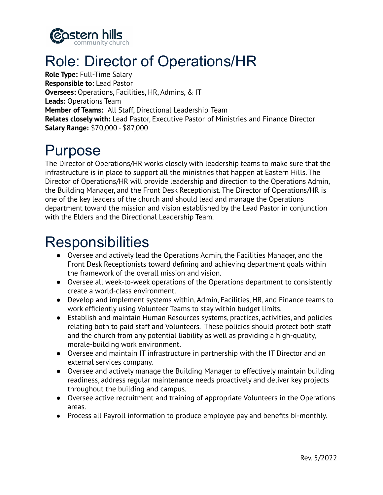

## Role: Director of Operations/HR

**Role Type:** Full-Time Salary **Responsible to:** Lead Pastor **Oversees:** Operations, Facilities, HR, Admins, & IT **Leads:** Operations Team **Member of Teams:** All Staff, Directional Leadership Team **Relates closely with:** Lead Pastor, Executive Pastor of Ministries and Finance Director **Salary Range:** \$70,000 - \$87,000

## Purpose

The Director of Operations/HR works closely with leadership teams to make sure that the infrastructure is in place to support all the ministries that happen at Eastern Hills. The Director of Operations/HR will provide leadership and direction to the Operations Admin, the Building Manager, and the Front Desk Receptionist. The Director of Operations/HR is one of the key leaders of the church and should lead and manage the Operations department toward the mission and vision established by the Lead Pastor in conjunction with the Elders and the Directional Leadership Team.

## **Responsibilities**

- Oversee and actively lead the Operations Admin, the Facilities Manager, and the Front Desk Receptionists toward defining and achieving department goals within the framework of the overall mission and vision.
- Oversee all week-to-week operations of the Operations department to consistently create a world-class environment.
- Develop and implement systems within, Admin, Facilities, HR, and Finance teams to work efficiently using Volunteer Teams to stay within budget limits.
- Establish and maintain Human Resources systems, practices, activities, and policies relating both to paid staff and Volunteers. These policies should protect both staff and the church from any potential liability as well as providing a high-quality, morale-building work environment.
- Oversee and maintain IT infrastructure in partnership with the IT Director and an external services company.
- Oversee and actively manage the Building Manager to effectively maintain building readiness, address regular maintenance needs proactively and deliver key projects throughout the building and campus.
- Oversee active recruitment and training of appropriate Volunteers in the Operations areas.
- Process all Payroll information to produce employee pay and benefits bi-monthly.